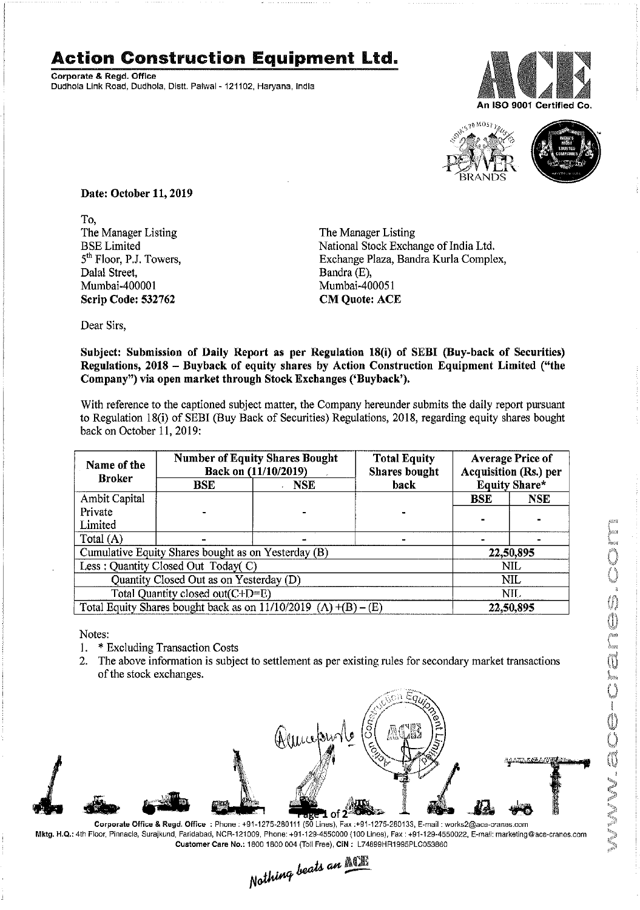## **Action Construction Equipment Ltd.**

Corporate & Regd.Office Dudhola Link Road, Dudhola, Distt. Palwal - 121102, Haryana, India





Date: October 11,2019

To, The Manager Listing BSE Limited 5<sup>th</sup> Floor, P.J. Towers, Dalal Street, Mumbai~40000 1 Scrip Code: 532762

The Manager Listing National Stock Exchange of India Ltd. Exchange Plaza, Bandra Kurla Complex, Bandra (E), Mumbai~400051 CM Quote: ACE

Dear Sirs,

Subject: Submission of Daily Report as per Regulation 18(i) of SEBI (Buy-back of Securities) Regulations, 2018 - Buyback of equity shares by Action Construction Equipment Limited ("the Company") via open market through Stock Exchanges ('Buyback').

With reference to the captioned subject matter, the Company hereunder submits the daily report pursuant to Regulation 18(i) of SEBI (Buy Back of Securities) Regulations, 2018, regarding equity shares bought back on October 11, 2019:

| Name of the<br><b>Broker</b>                                        | <b>Number of Equity Shares Bought</b><br>Back on (11/10/2019) |            | <b>Total Equity</b><br><b>Shares bought</b> | <b>Average Price of</b><br><b>Acquisition (Rs.) per</b> |            |  |
|---------------------------------------------------------------------|---------------------------------------------------------------|------------|---------------------------------------------|---------------------------------------------------------|------------|--|
|                                                                     | <b>BSE</b>                                                    | <b>NSE</b> | back                                        | Equity Share*                                           |            |  |
| Ambit Capital                                                       |                                                               |            |                                             | <b>BSE</b>                                              | <b>NSE</b> |  |
| Private                                                             |                                                               |            |                                             |                                                         |            |  |
| Limited                                                             |                                                               |            |                                             |                                                         |            |  |
| Total (A)                                                           |                                                               |            |                                             |                                                         |            |  |
| Cumulative Equity Shares bought as on Yesterday (B)                 |                                                               |            |                                             | 22,50,895                                               |            |  |
| Less: Quantity Closed Out Today(C)                                  |                                                               |            |                                             | <b>NIL</b>                                              |            |  |
| Quantity Closed Out as on Yesterday (D)                             |                                                               |            |                                             | NIL.                                                    |            |  |
| Total Quantity closed out(C+D=E)                                    |                                                               |            |                                             |                                                         | NIL.       |  |
| Total Equity Shares bought back as on $11/10/2019$ (A) $+(B) - (E)$ |                                                               |            |                                             | 22,50,895                                               |            |  |

Notes:

- 1. \* Excluding Transaction Costs
- 2. The above information is subject to settlement as per existing rules for secondary market transactions of the stock exchanges.



Mktg. H.Q.: 4th Floor, Pinnacle, Surajkund, Faridabad, NCR-121009, Phone: +91·129·4550000 (100 Lines), Fax: +91-129-4550022, E-mail:marketing@ace·cranes,com

Customer Care No.: 1800 1800 004 (Toll Free), CIN: L74899HR1995PLC053860<br>
Mathima beats an  $\frac{\text{N}}{\text{N}}$